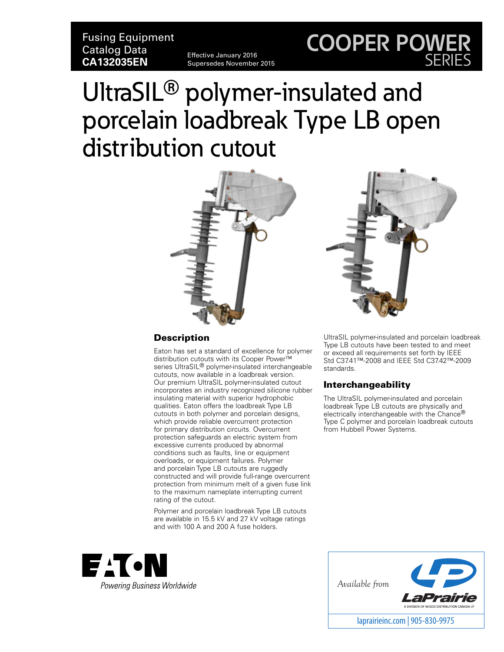Fusing Equipment Catalog Data **CA132035EN** Effective January 2016

# Supersedes November 2015

# UltraSIL**®** polymer-insulated and porcelain loadbreak Type LB open distribution cutout





**COOPER POWER**

SERIES

#### **Description**

Eaton has set a standard of excellence for polymer distribution cutouts with its Cooper Power™ series UltraSIL® polymer-insulated interchangeable cutouts, now available in a loadbreak version. Our premium UltraSIL polymer-insulated cutout incorporates an industry recognized silicone rubber insulating material with superior hydrophobic qualities. Eaton offers the loadbreak Type LB cutouts in both polymer and porcelain designs, which provide reliable overcurrent protection for primary distribution circuits. Overcurrent protection safeguards an electric system from excessive currents produced by abnormal conditions such as faults, line or equipment overloads, or equipment failures. Polymer and porcelain Type LB cutouts are ruggedly constructed and will provide full-range overcurrent protection from minimum melt of a given fuse link to the maximum nameplate interrupting current rating of the cutout.

Polymer and porcelain loadbreak Type LB cutouts are available in 15.5 kV and 27 kV voltage ratings and with 100 A and 200 A fuse holders.



UltraSIL polymer-insulated and porcelain loadbreak Type LB cutouts have been tested to and meet or exceed all requirements set forth by IEEE Std C37.41™-2008 and IEEE Std C37.42™-2009 standards.

#### Interchangeability

The UltraSIL polymer-insulated and porcelain loadbreak Type LB cutouts are physically and electrically interchangeable with the Chance® Type C polymer and porcelain loadbreak cutouts from Hubbell Power Systems.

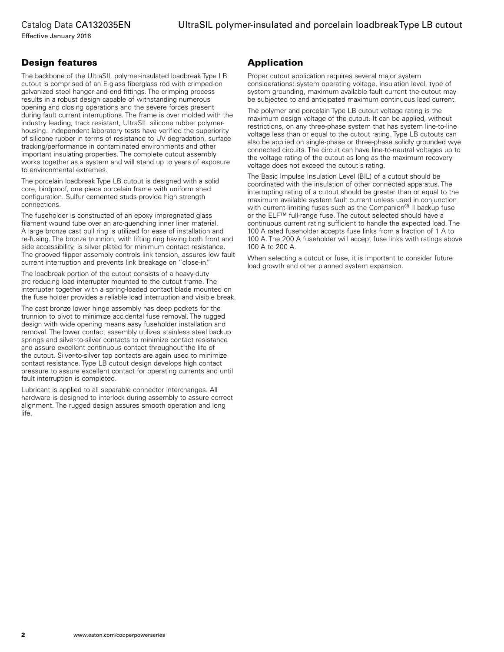Effective January 2016

#### Design features

The backbone of the UltraSIL polymer-insulated loadbreak Type LB cutout is comprised of an E-glass fiberglass rod with crimped-on galvanized steel hanger and end fittings. The crimping process results in a robust design capable of withstanding numerous opening and closing operations and the severe forces present during fault current interruptions. The frame is over molded with the industry leading, track resistant, UltraSIL silicone rubber polymerhousing. Independent laboratory tests have verified the superiority of silicone rubber in terms of resistance to UV degradation, surface tracking/performance in contaminated environments and other important insulating properties. The complete cutout assembly works together as a system and will stand up to years of exposure to environmental extremes.

The porcelain loadbreak Type LB cutout is designed with a solid core, birdproof, one piece porcelain frame with uniform shed configuration. Sulfur cemented studs provide high strength connections.

The fuseholder is constructed of an epoxy impregnated glass filament wound tube over an arc-quenching inner liner material. A large bronze cast pull ring is utilized for ease of installation and re-fusing. The bronze trunnion, with lifting ring having both front and side accessibility, is silver plated for minimum contact resistance. The grooved flipper assembly controls link tension, assures low fault current interruption and prevents link breakage on "close-in."

The loadbreak portion of the cutout consists of a heavy-duty arc reducing load interrupter mounted to the cutout frame. The interrupter together with a spring-loaded contact blade mounted on the fuse holder provides a reliable load interruption and visible break.

The cast bronze lower hinge assembly has deep pockets for the trunnion to pivot to minimize accidental fuse removal. The rugged design with wide opening means easy fuseholder installation and removal. The lower contact assembly utilizes stainless steel backup springs and silver-to-silver contacts to minimize contact resistance and assure excellent continuous contact throughout the life of the cutout. Silver-to-silver top contacts are again used to minimize contact resistance. Type LB cutout design develops high contact pressure to assure excellent contact for operating currents and until fault interruption is completed.

Lubricant is applied to all separable connector interchanges. All hardware is designed to interlock during assembly to assure correct alignment. The rugged design assures smooth operation and long life.

#### Application

Proper cutout application requires several major system considerations: system operating voltage, insulation level, type of system grounding, maximum available fault current the cutout may be subjected to and anticipated maximum continuous load current.

The polymer and porcelain Type LB cutout voltage rating is the maximum design voltage of the cutout. It can be applied, without restrictions, on any three-phase system that has system line-to-line voltage less than or equal to the cutout rating. Type LB cutouts can also be applied on single-phase or three-phase solidly grounded wye connected circuits. The circuit can have line-to-neutral voltages up to the voltage rating of the cutout as long as the maximum recovery voltage does not exceed the cutout's rating.

The Basic Impulse Insulation Level (BIL) of a cutout should be coordinated with the insulation of other connected apparatus. The interrupting rating of a cutout should be greater than or equal to the maximum available system fault current unless used in conjunction with current-limiting fuses such as the Companion® II backup fuse or the ELF™ full-range fuse. The cutout selected should have a continuous current rating sufficient to handle the expected load. The 100 A rated fuseholder accepts fuse links from a fraction of 1 A to 100 A. The 200 A fuseholder will accept fuse links with ratings above 100 A to 200 A.

When selecting a cutout or fuse, it is important to consider future load growth and other planned system expansion.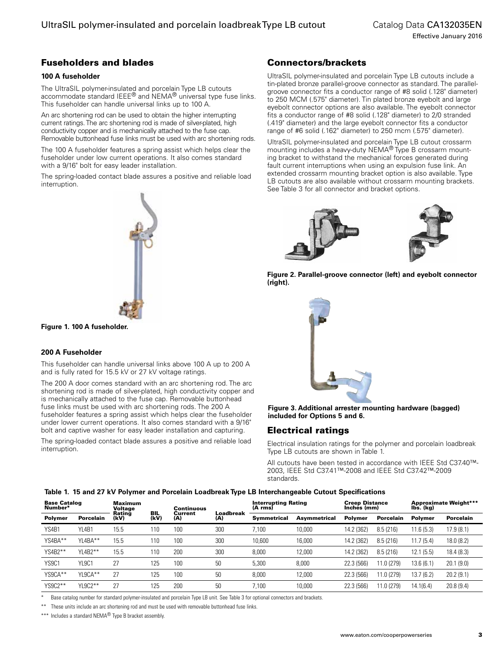#### Fuseholders and blades

#### **100 A fuseholder**

The UltraSIL polymer-insulated and porcelain Type LB cutouts accommodate standard IEEE® and NEMA® universal type fuse links. This fuseholder can handle universal links up to 100 A.

An arc shortening rod can be used to obtain the higher interrupting current ratings. The arc shortening rod is made of silver-plated, high conductivity copper and is mechanically attached to the fuse cap. Removable buttonhead fuse links must be used with arc shortening rods.

The 100 A fuseholder features a spring assist which helps clear the fuseholder under low current operations. It also comes standard with a 9/16" bolt for easy leader installation.

The spring-loaded contact blade assures a positive and reliable load interruption.

**Figure 1. 100 A fuseholder.**

#### **200 A Fuseholder**

This fuseholder can handle universal links above 100 A up to 200 A and is fully rated for 15.5 kV or 27 kV voltage ratings.

The 200 A door comes standard with an arc shortening rod. The arc shortening rod is made of silver-plated, high conductivity copper and is mechanically attached to the fuse cap. Removable buttonhead fuse links must be used with arc shortening rods. The 200 A fuseholder features a spring assist which helps clear the fuseholder under lower current operations. It also comes standard with a 9/16" bolt and captive washer for easy leader installation and capturing.

The spring-loaded contact blade assures a positive and reliable load interruption.

#### Connectors/brackets

UltraSIL polymer-insulated and porcelain Type LB cutouts include a tin-plated bronze parallel-groove connector as standard. The parallelgroove connector fits a conductor range of #8 solid (.128" diameter) to 250 MCM (.575" diameter). Tin plated bronze eyebolt and large eyebolt connector options are also available. The eyebolt connector fits a conductor range of #8 solid (.128" diameter) to 2/0 stranded (.419" diameter) and the large eyebolt connector fits a conductor range of #6 solid (.162" diameter) to 250 mcm (.575" diameter).

UltraSIL polymer-insulated and porcelain Type LB cutout crossarm mounting includes a heavy-duty NEMA® Type B crossarm mounting bracket to withstand the mechanical forces generated during fault current interruptions when using an expulsion fuse link. An extended crossarm mounting bracket option is also available. Type LB cutouts are also available without crossarm mounting brackets. See Table 3 for all connector and bracket options.





**Figure 2. Parallel-groove connector (left) and eyebolt connector (right).**



**Figure 3. Additional arrester mounting hardware (bagged) included for Options 5 and 6.**

#### Electrical ratings

Electrical insulation ratings for the polymer and porcelain loadbreak Type LB cutouts are shown in Table 1.

All cutouts have been tested in accordance with IEEE Std C37.40™- 2003, IEEE Std C37.41™-2008 and IEEE Std C37.42™-2009 standards.

#### **Table 1. 15 and 27 kV Polymer and Porcelain Loadbreak Type LB Interchangeable Cutout Specifications**

| <b>Base Catalog</b><br>Number* |                  | Maximum<br>Voltage |             | Continuous     |                  | Interrupting Rating<br>(A rms) |              | <b>Creep Distance</b><br>Inches (mm) |                  | <b>Approximate Weight***</b><br>Ibs. (kg) |                  |
|--------------------------------|------------------|--------------------|-------------|----------------|------------------|--------------------------------|--------------|--------------------------------------|------------------|-------------------------------------------|------------------|
| <b>Polymer</b>                 | <b>Porcelain</b> | Rating<br>(kV)     | BIL<br>(kV) | Current<br>(A) | Loadbreak<br>(A) | <b>Symmetrical</b>             | Asymmetrical | <b>Polymer</b>                       | <b>Porcelain</b> | <b>Polymer</b>                            | <b>Porcelain</b> |
| YS4B1                          | YL4B1            | 15.5               | 110         | 100            | 300              | 7.100                          | 10,000       | 14.2 (362)                           | 8.5(216)         | 11.6(5.3)                                 | 17.9 (8.1)       |
| YS4BA**                        | YL4BA**          | 15.5               | 110         | 100            | 300              | 10,600                         | 16,000       | 14.2 (362)                           | 8.5(216)         | 11.7(5.4)                                 | 18.0 (8.2)       |
| YS4B2**                        | YL4B2**          | 15.5               | 110         | 200            | 300              | 8,000                          | 12,000       | 14.2 (362)                           | 8.5(216)         | (5.5)<br>12.1                             | 18.4 (8.3)       |
| YS9C1                          | YL9C1            | 27                 | 125         | 100            | 50               | 5,300                          | 8.000        | 22.3 (566)                           | 11.0 (279)       | 13.6 (6.1                                 | 20.1(9.0)        |
| YS9CA**                        | YL9CA**          | 27                 | 125         | 100            | 50               | 8,000                          | 12,000       | 22.3 (566)                           | 11.0 (279)       | 7 (6.2)<br>13.7                           | 20.2(9.1)        |
| YS9C2**                        | YL9C2**          | 27                 | 125         | 200            | 50               | 7.100                          | 10,000       | 22.3 (566)                           | 11.0 (279)       | 14.1(6.4)                                 | 20.8(9.4)        |

Base catalog number for standard polymer-insulated and porcelain Type LB unit. See Table 3 for optional connectors and brackets.

These units include an arc shortening rod and must be used with removable buttonhead fuse links.

\*\*\* Includes a standard NEMA® Type B bracket assembly.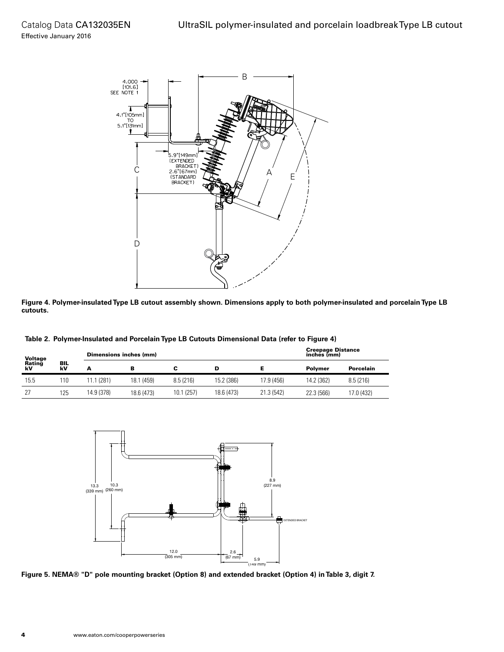

**Figure 4. Polymer-insulated Type LB cutout assembly shown. Dimensions apply to both polymer-insulated and porcelain Type LB cutouts.**

| Voltage<br>Rating<br>kV | BIL<br>kV | Dimensions inches (mm) |            |            | <b>Creepage Distance</b><br>inches (mm) |            |            |            |
|-------------------------|-----------|------------------------|------------|------------|-----------------------------------------|------------|------------|------------|
|                         |           |                        | в          |            | D                                       |            | Polvmer    | Porcelain  |
| 15.5                    | 110       | 1.1(281)               | 18.1 (459) | 8.5(216)   | 15.2 (386)                              | 17.9 (456) | 14.2 (362) | 8.5(216)   |
| 27                      | 125       | 14.9 (378)             | 18.6 (473) | 10.1 (257) | 18.6 (473)                              | 21.3 (542) | 22.3 (566) | 17.0 (432) |



**Figure 5. NEMA® "D" pole mounting bracket (Option 8) and extended bracket (Option 4) in Table 3, digit 7.**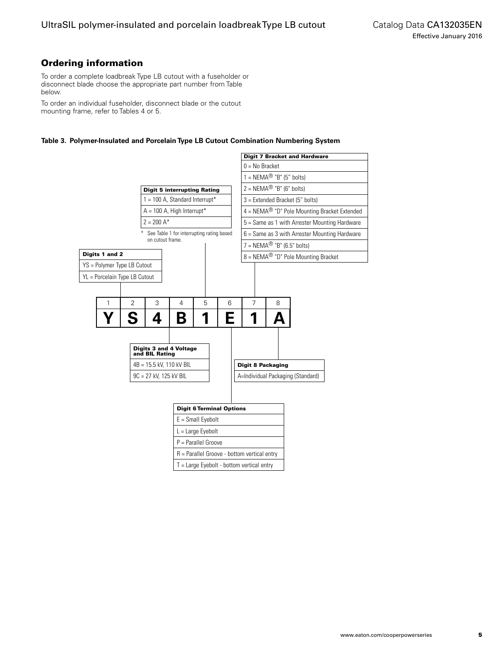### Ordering information

To order a complete loadbreak Type LB cutout with a fuseholder or disconnect blade choose the appropriate part number from Table below.

To order an individual fuseholder, disconnect blade or the cutout mounting frame, refer to Tables 4 or 5.

#### **Table 3. Polymer-Insulated and Porcelain Type LB Cutout Combination Numbering System**